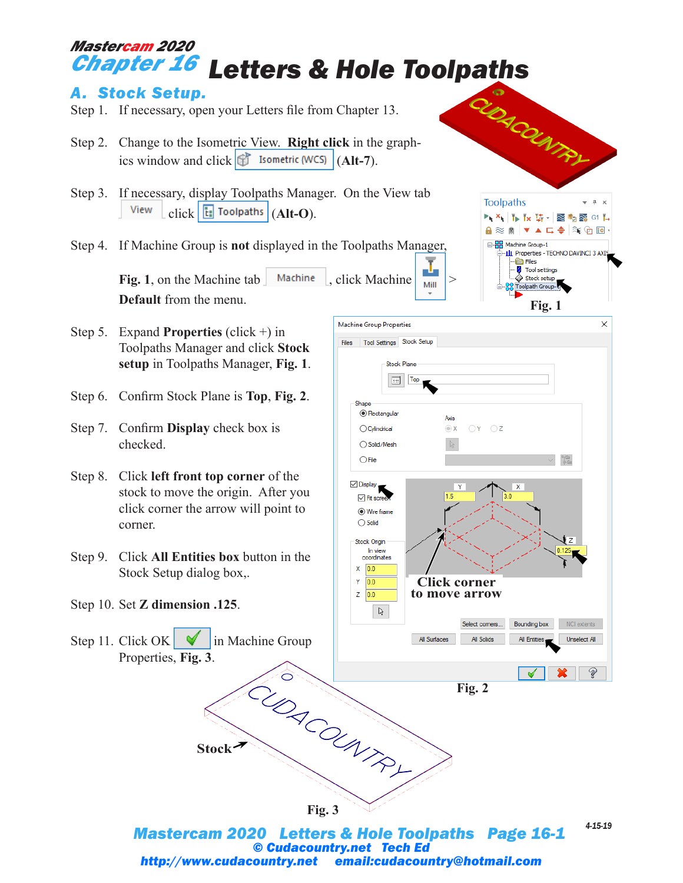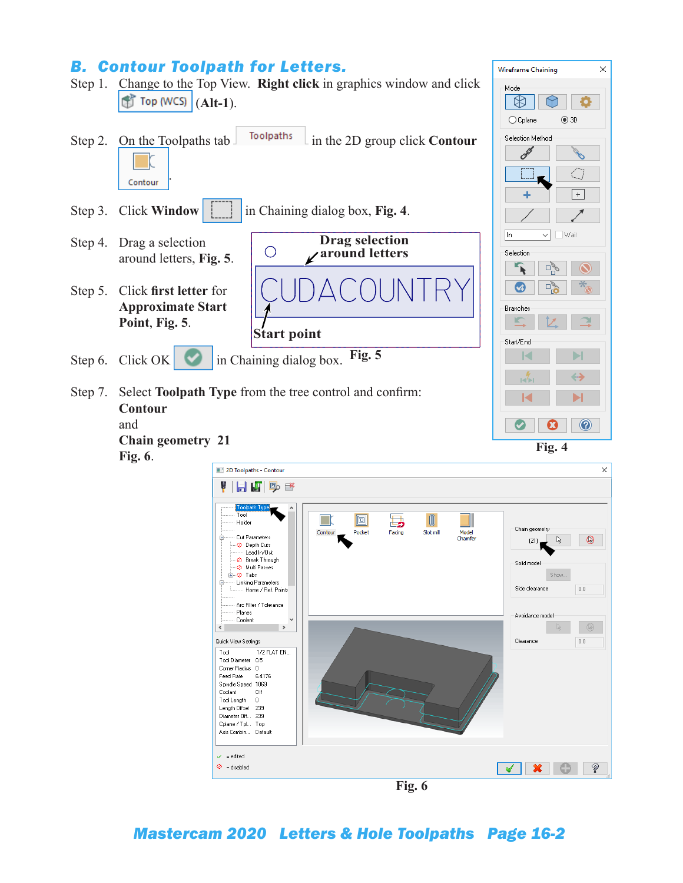## *B. Contour Toolpath for Letters.*

**Chain geometry 21**

Step 1. Change to the Top View. **Right click** in graphics window and click  $\int$  Top (WCS)  $|$  (Alt-1).





Wireframe Chaining

Mode

 $\times$ 



**Fig. 6**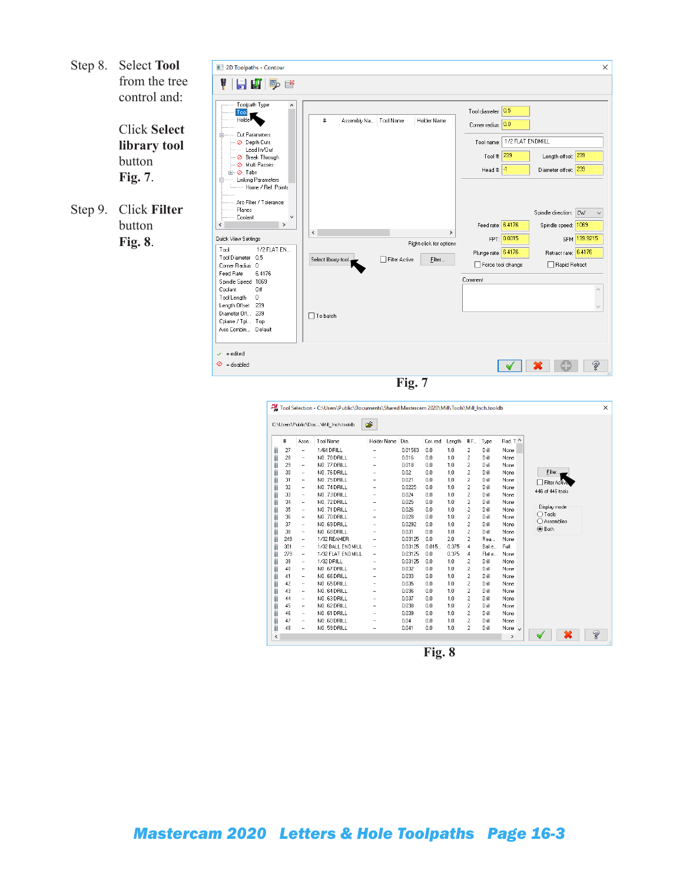Step 8. Select **Tool** from the tree control and:

> Click **Select library tool**  button **Fig. 7**.

Step 9. Click **Filter**  button **Fig. 8**.

| 2D Toolpaths - Contour<br>日内吗的<br>V                                                                                                                                                                                                                                                                                                                                                                                                                                                                                                                                          | $\times$                                                                                                                                                                                                                                                                                                                                                                                                                                                                                                                                                                         |
|------------------------------------------------------------------------------------------------------------------------------------------------------------------------------------------------------------------------------------------------------------------------------------------------------------------------------------------------------------------------------------------------------------------------------------------------------------------------------------------------------------------------------------------------------------------------------|----------------------------------------------------------------------------------------------------------------------------------------------------------------------------------------------------------------------------------------------------------------------------------------------------------------------------------------------------------------------------------------------------------------------------------------------------------------------------------------------------------------------------------------------------------------------------------|
| Toolpath Type<br>$\wedge$<br>Tool<br>Holde<br>Cut Parameters<br>Ė<br>C Depth Cuts<br>Lead In/Out<br>· ⊘ Break Through<br><b>⊘</b> Multi Passes<br>⊕ ⊘ Tabs<br>Linking Parameters<br>Ė<br>- Home / Ref. Points<br>Arc Filter / Tolerance<br>Planes<br>Coolant<br>$\overline{\phantom{a}}$<br>$\rightarrow$<br>Quick View Settings<br>1/2 FLAT EN<br>Tool<br>Tool Diameter<br>0.5<br>Corner Radius 0<br>Feed Rate<br>6.4176<br>Spindle Speed 1069<br>Coolant<br>Off<br>Tool Length<br>0<br>Length Offset<br>239<br>Diameter Off 239<br>Cplane / Tpl Top<br>Axis Combin Default | Tool diameter: 0.5<br>#<br>Assembly Na Tool Name<br>Holder Name<br>Corner radius: 0.0<br>1/2 FLAT ENDMILL<br>Tool name:<br>Length offset: 239<br>239<br>Tool #:<br>Diameter offset: 239<br>Head #: $\frac{1}{1}$<br>Spindle direction: CW<br>Feed rate: 6.4176<br>Spindle speed: 1069<br>$\hat{}$<br>$\rightarrow$<br>FPT: 0.0015<br>SFM 139.9215<br>Right-click for options<br>Plunge rate: 6.4176<br>Retract rate: 6.4176<br>Select library tool.<br>Filter Active<br>Filter<br>Force tool change<br>□ Rapid Retract<br>Comment<br>$\backslash \mathcal{J}$<br>$\Box$ To batch |
| = edited<br>$\mathcal{L}$<br>$\odot$ = disabled                                                                                                                                                                                                                                                                                                                                                                                                                                                                                                                              | Ž                                                                                                                                                                                                                                                                                                                                                                                                                                                                                                                                                                                |
|                                                                                                                                                                                                                                                                                                                                                                                                                                                                                                                                                                              | Fig. 7                                                                                                                                                                                                                                                                                                                                                                                                                                                                                                                                                                           |

|         | #   | Asse                 | Tool Name         | Holder Name          | Dia.    | Cor. rad. | Length | #F                      | Type   | Rad. T ^    |                  |   |
|---------|-----|----------------------|-------------------|----------------------|---------|-----------|--------|-------------------------|--------|-------------|------------------|---|
|         | 27  | ٠.                   | 1/64 DRILL        |                      | 0.01563 | 0.0       | 1.0    | $\overline{c}$          | Drill  | None        |                  |   |
| ģį      | 28  | ٠.                   | NO. 78 DRILL      |                      | 0.016   | 0.0       | 1.0    | 2                       | Drill  | None        |                  |   |
| ģį<br>ģ | 29  | $\ddotsc$            | NO. 77 DRILL      | $\ddotsc$            | 0.018   | 0.0       | 1.0    | $\overline{c}$          | Drill  | None        |                  |   |
|         | 30  |                      | NO. 76 DRILL      |                      | 0.02    | 0.0       | 1.0    | $\overline{c}$          | Drill  | None        | Filter           |   |
| W       | 31  | ٠.                   | NO. 75 DRILL      |                      | 0.021   | 0.0       | 1.0    | $\overline{c}$          | Drill  | None        |                  |   |
| ü<br>ä  | 32  | ٠.                   | NO. 74 DRILL      | $\ddotsc$            | 0.0225  | 0.0       | 1.0    | $\overline{\mathbf{c}}$ | Drill  | None        | Filter Active    |   |
| ij      | 33  |                      | NO. 73 DRILL      |                      | 0.024   | 0.0       | 1.0    | $\overline{c}$          | Drill  | None        | 446 of 446 tools |   |
| ü       | 34  |                      | NO. 72 DRILL      |                      | 0.025   | 0.0       | 1.0    | 2                       | Drill  | None        |                  |   |
| Ü       | 35  | ٠.                   | NO. 71 DRILL      | ٠.                   | 0.026   | 0.0       | 1.0    | $\overline{c}$          | Drill  | None        | Display mode     |   |
| ÿ       | 36  |                      | NO. 70 DRILL      |                      | 0.028   | 0.0       | 1.0    | $\overline{c}$          | Drill  | None        | $\bigcap$ Tools  |   |
| ŧi      | 37  |                      | NO. 69 DRILL      |                      | 0.0292  | 0.0       | 1.0    | $\overline{c}$          | Drill  | None        | ○ Assemblies     |   |
| Ĥ       | 38  | ٠.                   | NO. 68 DRILL      |                      | 0.031   | 0.0       | 1.0    | $\overline{c}$          | Drill  | None        | <b>◎</b> Both    |   |
| ģi      | 249 | $\ddot{\phantom{1}}$ | 1/32 REAMER       | $\ddot{\phantom{a}}$ | 0.03125 | 0.0       | 2.0    | $\overline{c}$          | Rea    | None        |                  |   |
| B       | 301 |                      | 1/32 BALL ENDMILL |                      | 0.03125 | 0.015     | 0.375  | $\overline{4}$          | Ball e | Full        |                  |   |
| ü       | 279 | ٠.                   | 1/32 FLAT ENDMILL | ٠.                   | 0.03125 | 0.0       | 0.375  | 4                       | Flat e | None        |                  |   |
| ŧ       | 39  | $\ddot{\phantom{1}}$ | 1/32 DRILL        | ä.                   | 0.03125 | 0.0       | 1.0    | 2                       | Drill  | None        |                  |   |
| ģį      | 40  |                      | NO. 67 DRILL      |                      | 0.032   | 0.0       | 1.0    | $\overline{c}$          | Drill  | None        |                  |   |
| ü       | 41  | ٠.                   | NO. 66 DRILL      |                      | 0.033   | 0.0       | 1.0    | $\overline{c}$          | Drill  | None        |                  |   |
| Ü       | 42  | ۰.                   | NO. 65 DRILL      | ٠.                   | 0.035   | 0.0       | 1.0    | 2                       | Drill  | None        |                  |   |
| ŧ       | 43  | $\ddot{\phantom{0}}$ | NO. 64 DRILL      |                      | 0.036   | 0.0       | 1.0    | $\overline{c}$          | Drill  | None        |                  |   |
| ģį      | 44  |                      | NO. 63 DRILL      |                      | 0.037   | 0.0       | 1.0    | $\overline{c}$          | Drill  | None        |                  |   |
| ä       | 45  | ۰.                   | NO. 62 DRILL      |                      | 0.038   | 0.0       | 1.0    | $\overline{\mathbf{c}}$ | Drill  | None        |                  |   |
| ģį      | 46  | $\ddotsc$            | NO. 61 DRILL      | $\ddotsc$            | 0.039   | 0.0       | 1.0    | $\overline{c}$          | Drill  | None        |                  |   |
| ģį      | 47  |                      | NO. 60 DRILL      |                      | 0.04    | 0.0       | 1.0    | $\overline{c}$          | Drill  | None        |                  |   |
| Å       | 48  | ٠.                   | NO. 59 DRILL      |                      | 0.041   | 0.0       | 1.0    | 2                       | Drill  | None $\vee$ |                  | Ž |

**Fig. 8**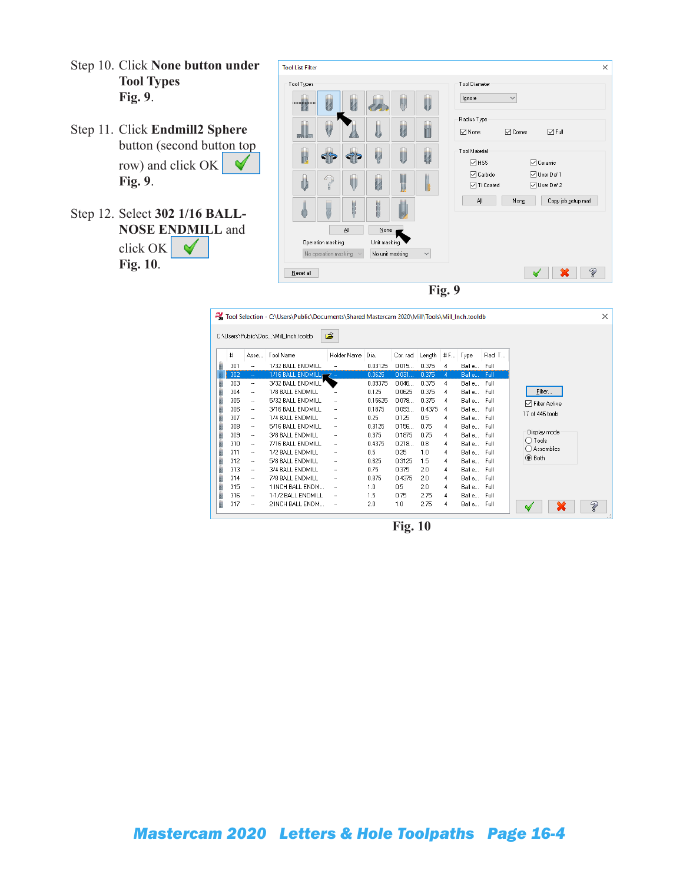- Step 10. Click **None button under Tool Types Fig. 9**.
- Step 11. Click **Endmill2 Sphere**  button (second button top row) and click OK ✔ **Fig. 9**.
- Step 12. Select **302 1/16 BALL-NOSE ENDMILL** and click OK  $\blacklozenge$ **Fig. 10**.

| <b>Tool List Filter</b> |                      |              |                 |    |              |                                                                                      | × |
|-------------------------|----------------------|--------------|-----------------|----|--------------|--------------------------------------------------------------------------------------|---|
| Tool Types              |                      |              |                 |    |              | <b>Tool Diameter</b>                                                                 |   |
| M                       | H                    |              |                 | W  | U            | Ignore<br>$\checkmark$                                                               |   |
| <b>RA RIC</b>           |                      |              |                 | U  | 'n           | Radius Type<br>$\overline{\smile}$ Full<br>$\sqrt{ }$ None<br>$\triangledown$ Corner |   |
| þ                       |                      |              | Q               | U  | ų            | Tool Material<br>$\nabla$ HSS<br>□ Ceramic                                           |   |
| Ü                       | G<br>ú<br>E          | U            | ų               | IJ |              | □ User Def 1<br>$\boxdot$ Carbide<br><b>⊡</b> Ti Coated<br>□ User Def 2              |   |
|                         |                      | <b>March</b> | 防原              |    |              | All<br>None<br>Copy job setup matl                                                   |   |
|                         |                      | ΔI           | $None$          |    |              |                                                                                      |   |
|                         | Operation masking    |              | Unit masking    |    |              |                                                                                      |   |
|                         | No operation masking | $\sim$       | No unit masking |    | $\checkmark$ |                                                                                      |   |
| Reset all               |                      |              |                 |    |              | Ž<br>×                                                                               |   |
|                         |                      |              |                 |    |              | Fig. 9                                                                               |   |

|     |                          | C:\Users\Public\Doc\Mill_Inch.tooldb | B           |         |           |        |     |            |        |                        |
|-----|--------------------------|--------------------------------------|-------------|---------|-----------|--------|-----|------------|--------|------------------------|
| #   | Asse                     | Tool Name                            | Holder Name | Dia.    | Cor. rad. | Length | # F | Type       | Rad. T |                        |
| 301 | $\cdot$                  | 1/32 BALL ENDMILL                    | ٠.          | 0.03125 | 0.015     | 0.375  | 4   | Ball e…    | Full   |                        |
| 302 | $\omega_{\rm e}$         | 1/16 BALL ENDMILL,                   | 7 -         | 0.0625  | 0.031     | 0.375  | 4.  | Ball e     | Full   |                        |
| 303 | $\cdots$                 | 3/32 BALL ENDMILL                    |             | 0.09375 | 0.046     | 0.375  | 4   | Ball e     | Full   |                        |
| 304 | ٠.                       | 1/8 BALL ENDMILL                     | ٠.          | 0.125   | 0.0625    | 0.375  | 4   | Balle Full |        | Filter                 |
| 305 | $\ddotsc$                | 5/32 BALL ENDMILL                    | ۰.          | 0.15625 | 0.078     | 0.375  | 4   | Balle Full |        | <b>□</b> Filter Active |
| 306 | $\ddotsc$                | 3/16 BALL ENDMILL                    | ٠.          | 0.1875  | 0.093     | 0.4375 | 4   | Balle Full |        | 17 of 446 tools        |
| 307 | $\ddotsc$                | 1/4 BALL ENDMILL                     |             | 0.25    | 0.125     | 0.5    | 4   | Balle Full |        |                        |
| 308 | $\overline{\phantom{a}}$ | 5/16 BALL ENDMILL                    |             | 0.3125  | 0.156     | 0.75   | 4   | Balle Full |        |                        |
| 309 | $\ddotsc$                | 3/8 BALL ENDMILL                     | ٠.          | 0.375   | 0.1875    | 0.75   | 4   | Balle Full |        | Display mode           |
| 310 | $\ddotsc$                | 7/16 BALL ENDMILL                    | ٠.          | 0.4375  | 0.218     | 0.8    | 4   | Balle Full |        | $\bigcirc$ Tools       |
| 311 | $\ddotsc$                | 1/2 BALL ENDMILL                     |             | 0.5     | 0.25      | 1.0    | 4   | Balle Full |        | ◯ Assemblies           |
| 312 | $\ddotsc$                | 5/8 BALL ENDMILL                     | ٠.          | 0.625   | 0.3125    | 1.5    | 4   | Balle Full |        | ◉ Both                 |
| 313 | $\ddotsc$                | 3/4 BALL ENDMILL                     | ۰.          | 0.75    | 0.375     | 2.0    | 4   | Balle Full |        |                        |
| 314 | $\ddotsc$                | 7/8 BALL ENDMILL                     | ۰.          | 0.875   | 0.4375    | 2.0    | 4   | Balle Full |        |                        |
| 315 | $\ddotsc$                | 1 INCH BALL ENDM                     | ٠.          | 1.0     | 0.5       | 2.0    | 4   | Balle Full |        |                        |
| 316 | $\ddotsc$                | 1-1/2 BALL ENDMILL                   | ۰.          | 1.5     | 0.75      | 2.75   | 4   | Balle Full |        |                        |

**Fig. 10**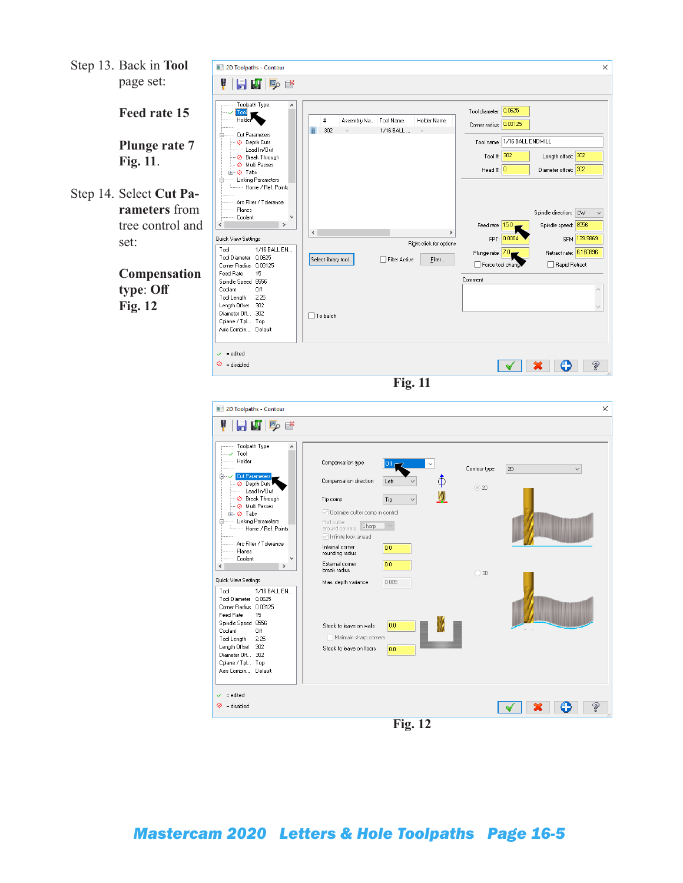Step 13. Back in **Tool** page set:

**Feed rate 15** 

**Plunge rate 7 Fig. 11**.

Step 14. Select **Cut Parameters** from tree control and set:

> **Compensation type**: **Off Fig. 12**



| $\sim$                                                                                                                                                                                                                                                                                                                                                                                                                                                |                                                                                                                                                                                                                                                       |                                  |                      |    |
|-------------------------------------------------------------------------------------------------------------------------------------------------------------------------------------------------------------------------------------------------------------------------------------------------------------------------------------------------------------------------------------------------------------------------------------------------------|-------------------------------------------------------------------------------------------------------------------------------------------------------------------------------------------------------------------------------------------------------|----------------------------------|----------------------|----|
| V<br>$H$ $\mathbb{F}$ $\mathbb{P}$ $\mathbb{C}$                                                                                                                                                                                                                                                                                                                                                                                                       |                                                                                                                                                                                                                                                       |                                  |                      |    |
| Toolpath Type<br>Α<br>$\mathord{\hspace{1pt}\text{--}\hspace{1pt}}\mathord{\hspace{1pt}\text{--}\hspace{1pt}}\mathord{\hspace{1pt}\text{--}\hspace{1pt}}$ Tool<br>Holder<br><b>E- ∠</b> Cut Parameters<br>O Depth Cuts<br>Lead In/Out<br>- ⊘ Break Through<br>· ⊘ Multi Passes<br><b>E-⊘</b> Tabs<br><b>Linking Parameters</b><br>Ė<br>Home / Ref. Points<br>Arc Filter / Tolerance<br>Planes<br>Coolant<br>$\rightarrow$<br>$\overline{\phantom{a}}$ | Compensation type<br>Compensation direction<br>Tip comp<br>$\vee$ Optimize cutter comp in control<br>Roll cutter<br>Sharp<br>around corners<br>$\sqrt{}$ Infinite look ahead<br>Internal corner<br>rounding radius<br>External corner<br>break radius | Off<br>Left<br>Tip<br>0.0<br>0.0 | Contour type<br>◯ 2D | 2D |
| Quick View Settings                                                                                                                                                                                                                                                                                                                                                                                                                                   | Max. depth variance                                                                                                                                                                                                                                   | 0.005                            | ◯ 3D                 |    |
| 1/16 BALL EN<br>Tool<br>Tool Diameter 0.0625<br>Corner Radius 0.03125<br>15<br>Feed Rate<br>Spindle Speed 8556<br>Coolant<br>Off<br>2.25<br>Tool Length<br>Length Offset 302<br>Diameter Off 302<br>Cplane / Tpl Top<br>Axis Combin Default                                                                                                                                                                                                           | Stock to leave on walls<br>Maintain sharp corners<br>Stock to leave on floors                                                                                                                                                                         | 0.0<br>0.0                       |                      |    |
| $\checkmark$ = edited<br>$\odot$ = disabled                                                                                                                                                                                                                                                                                                                                                                                                           |                                                                                                                                                                                                                                                       |                                  |                      | Ž  |

**Fig. 12**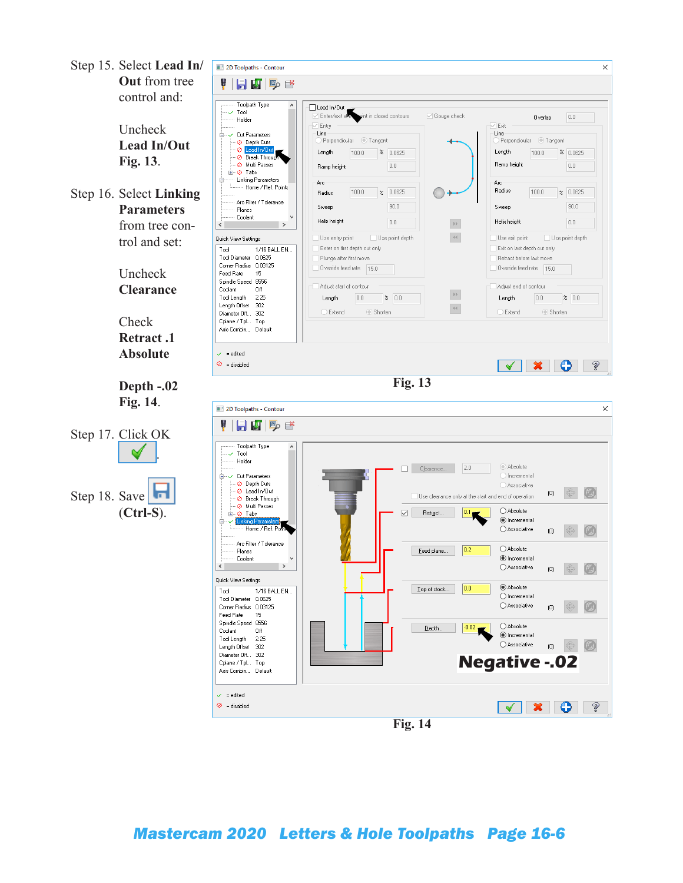

**Fig. 14**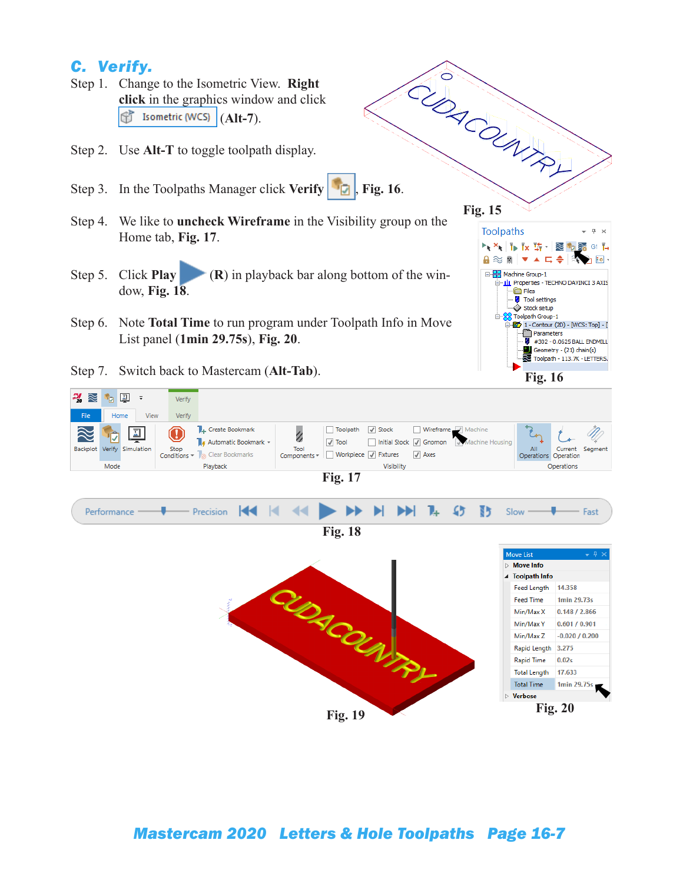## *C. Verify.*

- Step 1. Change to the Isometric View. **Right click** in the graphics window and click (**Alt-7**). 6
- Step 2. Use **Alt-T** to toggle toolpath display.
- 
- Step 4. We like to **uncheck Wireframe** in the Visibility group on the Home tab, **Fig. 17**.
- Step 5. Click **Play** (**R**) in playback bar along bottom of the window, **Fig. 18**.
- Step 6. Note **Total Time** to run program under Toolpath Info in Move List panel (**1min 29.75s**), **Fig. 20**.
- Step 7. Switch back to Mastercam (**Alt-Tab**).





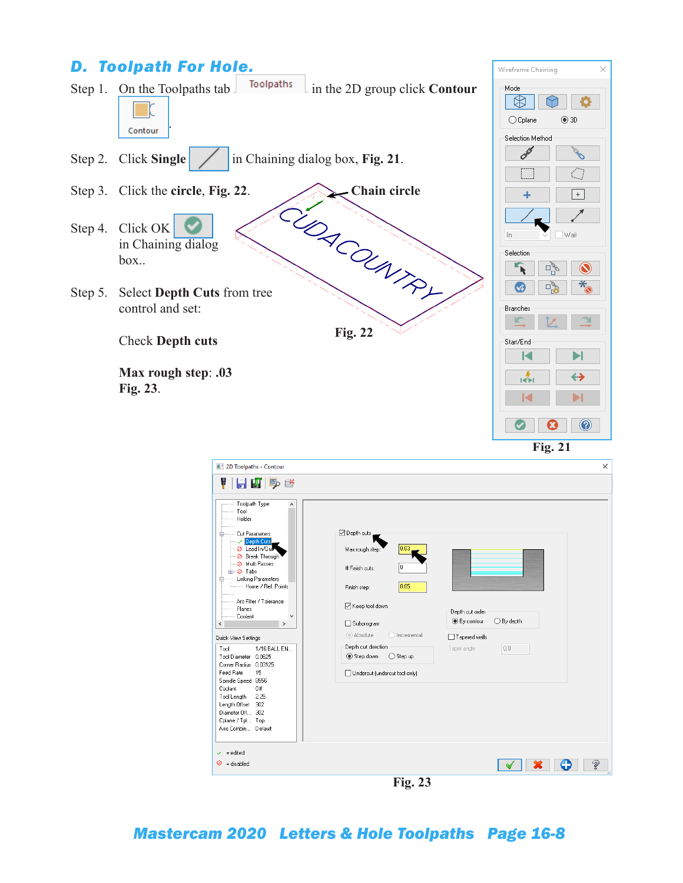

| 2D Toolpaths - Contour                                                                                                                                                                                                                                                            |                                                                                                                                                                                    | $\times$ |
|-----------------------------------------------------------------------------------------------------------------------------------------------------------------------------------------------------------------------------------------------------------------------------------|------------------------------------------------------------------------------------------------------------------------------------------------------------------------------------|----------|
| Y<br>$H$ $\mathbb{F}$ $\mathbb{P}$ $\mathbb{C}$                                                                                                                                                                                                                                   |                                                                                                                                                                                    |          |
| Toolpath Type<br>Α<br>Tool<br>Holder<br>Cut Parameters<br>Ėŀ<br>Depth Cuts<br>C Lead In/Our<br>Sreak Through<br>O Multi Passes<br><b>E-⊘</b> Tabs<br><b>Linking Parameters</b><br>Ėŀ<br>Home / Ref. Points<br>Arc Filter / Tolerance<br>Planes<br>Coolant<br>$\,$<br>$\checkmark$ | ⊡ Depth cuts<br>0.03<br>Max rough step:<br>o<br># Finish cuts:<br>0.05<br>Finish step:<br>○ Keep tool down<br>Depth cut order<br>$O$ By depth<br><b>■</b> By contour<br>Subprogram |          |
|                                                                                                                                                                                                                                                                                   | Absolute<br>O Incremental<br>□ Tapered walls                                                                                                                                       |          |
| Quick View Settings<br>Tool<br>1/16 BALL EN<br>Tool Diameter 0.0625                                                                                                                                                                                                               | Depth cut direction<br>0.0<br>Taper angle<br>Step down<br>$\bigcirc$ Step up                                                                                                       |          |
| Corner Radius 0.03125<br>15<br>Feed Rate<br>Spindle Speed 8556                                                                                                                                                                                                                    | Undercut (undercut tool only)                                                                                                                                                      |          |
| Off<br>Coolant<br>Tool Length<br>2.25<br>Length Offset<br>302<br>Diameter Off 302<br>Cplane / Tpl Top<br>Axis Combin Default                                                                                                                                                      |                                                                                                                                                                                    |          |
| $\checkmark$ = edited                                                                                                                                                                                                                                                             |                                                                                                                                                                                    |          |
| $\odot$ = disabled                                                                                                                                                                                                                                                                |                                                                                                                                                                                    | Ž        |
|                                                                                                                                                                                                                                                                                   | $\blacksquare$<br>$\sim$ $\sim$                                                                                                                                                    |          |

**Fig. 23**